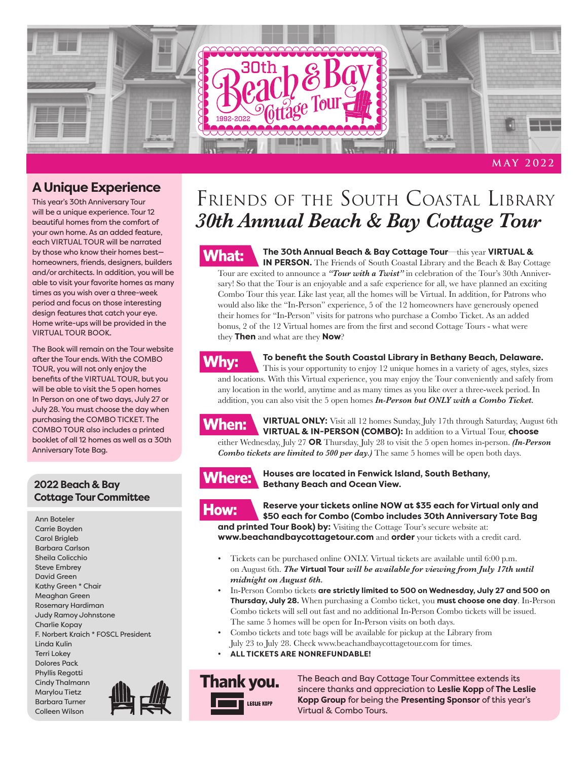

### **A Unique Experience**

This year's 30th Anniversary Tour will be a unique experience. Tour 12 beautiful homes from the comfort of your own home. As an added feature, each VIRTUAL TOUR will be narrated by those who know their homes best homeowners, friends, designers, builders and/or architects. In addition, you will be able to visit your favorite homes as many times as you wish over a three-week period and focus on those interesting design features that catch your eye. Home write-ups will be provided in the VIRTUAL TOUR BOOK.

The Book will remain on the Tour website after the Tour ends. With the COMBO TOUR, you will not only enjoy the benefits of the VIRTUAL TOUR, but you will be able to visit the 5 open homes In Person on one of two days, July 27 or July 28. You must choose the day when purchasing the COMBO TICKET. The COMBO TOUR also includes a printed booklet of all 12 homes as well as a 30th Anniversary Tote Bag.

#### **2022 Beach & Bay Cottage Tour Committee**

Ann Boteler Carrie Boyden Carol Brigleb Barbara Carlson Sheila Colicchio Steve Embrey David Green Kathy Green \* Chair Meaghan Green Rosemary Hardiman Judy Ramoy Johnstone Charlie Kopay F. Norbert Kraich \* FOSCL President Linda Kulin Terri Lokey Dolores Pack Phyllis Regotti Cindy Thalmann Marylou Tietz Barbara Turner Colleen Wilson





#### **The 30th Annual Beach & Bay Cottage Tour**—this year **VIRTUAL &**

**IN PERSON.** The Friends of South Coastal Library and the Beach & Bay Cottage Tour are excited to announce a *"Tour with a Twist"* in celebration of the Tour's 30th Anniversary! So that the Tour is an enjoyable and a safe experience for all, we have planned an exciting Combo Tour this year. Like last year, all the homes will be Virtual. In addition, for Patrons who would also like the "In-Person" experience, 5 of the 12 homeowners have generously opened their homes for "In-Person" visits for patrons who purchase a Combo Ticket. As an added bonus, 2 of the 12 Virtual homes are from the first and second Cottage Tours - what were they **Then** and what are they **Now**?

### **Why:**

#### **To benefit the South Coastal Library in Bethany Beach, Delaware.**

This is your opportunity to enjoy 12 unique homes in a variety of ages, styles, sizes and locations. With this Virtual experience, you may enjoy the Tour conveniently and safely from any location in the world, anytime and as many times as you like over a three-week period. In addition, you can also visit the 5 open homes *In-Person but ONLY with a Combo Ticket.*



**VIRTUAL ONLY:** Visit all 12 homes Sunday, July 17th through Saturday, August 6th **VIRTUAL & IN-PERSON (COMBO):** In addition to a Virtual Tour, **choose** either Wednesday, July 27 **OR** Thursday, July 28 to visit the 5 open homes in-person. *(In-Person Combo tickets are limited to 500 per day.)* The same 5 homes will be open both days.



**Houses are located in Fenwick Island, South Bethany, Bethany Beach and Ocean View.**

**Reserve your tickets online NOW at \$35 each for Virtual only and** :how **\$50 each for Combo (Combo includes 30th Anniversary Tote Bag and printed Tour Book) by:** Visiting the Cottage Tour's secure website at:

**www.beachandbaycottagetour.com** and **order** your tickets with a credit card.

- Tickets can be purchased online ONLY. Virtual tickets are available until 6:00 p.m. on August 6th. *The* **Virtual Tour** *will be available for viewing from July 17th until midnight on August 6th.*
- In-Person Combo tickets **are strictly limited to 500 on Wednesday, July 27 and 500 on Thursday, July 28.** When purchasing a Combo ticket, you **must choose one day**. In-Person Combo tickets will sell out fast and no additional In-Person Combo tickets will be issued. The same 5 homes will be open for In-Person visits on both days.
- Combo tickets and tote bags will be available for pickup at the Library from July 23 to July 28. Check www.beachandbaycottagetour.com for times.
- **ALL TICKETS ARE NONREFUNDABLE!**

**Thank you.** LESLIE KOPP

The Beach and Bay Cottage Tour Committee extends its sincere thanks and appreciation to **Leslie Kopp** of **The Leslie Kopp Group** for being the **Presenting Sponsor** of this year's Virtual & Combo Tours.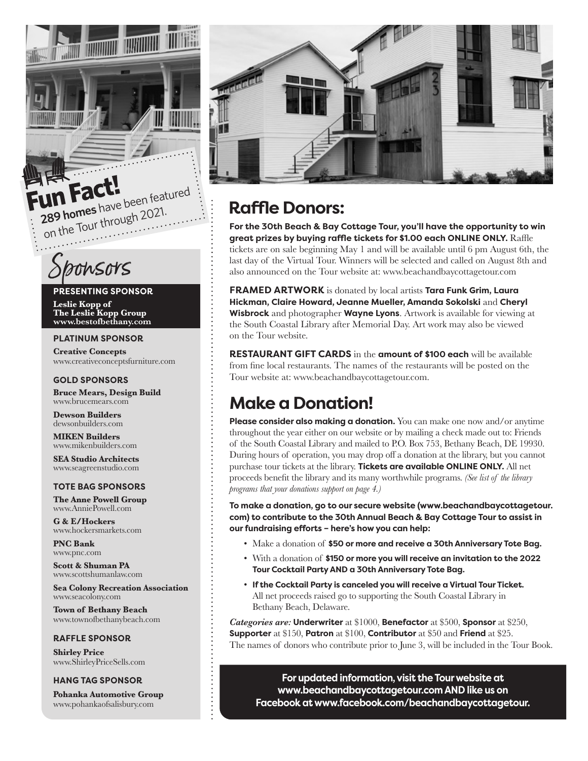

# Sponsors

#### **PRESENTING SPONSOR**

**Leslie Kopp of The Leslie Kopp Group www.bestofbethany.com**

#### **PLATINUM SPONSOR**

**Creative Concepts**  www.creativeconceptsfurniture.com

#### **GOLD SPONSORS**

**Bruce Mears, Design Build** www.brucemears.com

**Dewson Builders** dewsonbuilders.com

**MIKEN Builders** www.mikenbuilders.com

**SEA Studio Architects** www.seagreenstudio.com

#### **TOTE BAG SPONSORS**

**The Anne Powell Group**  www.AnniePowell.com

**G & E/Hockers**  www.hockersmarkets.com

**PNC Bank**  www.pnc.com

**Scott & Shuman PA** www.scottshumanlaw.com

**Sea Colony Recreation Association**  www.seacolony.com

**Town of Bethany Beach** www.townofbethanybeach.com

#### **RAFFLE SPONSOR**

**Shirley Price** www.ShirleyPriceSells.com

#### **HANG TAG SPONSOR**

**Pohanka Automotive Group** www.pohankaofsalisbury.com



### **Raffle Donors:**

**For the 30th Beach & Bay Cottage Tour, you'll have the opportunity to win great prizes by buying raffle tickets for \$1.00 each ONLINE ONLY.** Raffle tickets are on sale beginning May 1 and will be available until 6 pm August 6th, the last day of the Virtual Tour. Winners will be selected and called on August 8th and also announced on the Tour website at: www.beachandbaycottagetour.com

**FRAMED ARTWORK** is donated by local artists **Tara Funk Grim, Laura Hickman, Claire Howard, Jeanne Mueller, Amanda Sokolski** and **Cheryl Wisbrock** and photographer **Wayne Lyons**. Artwork is available for viewing at the South Coastal Library after Memorial Day. Art work may also be viewed on the Tour website.

**RESTAURANT GIFT CARDS** in the **amount of \$100 each** will be available from fine local restaurants. The names of the restaurants will be posted on the Tour website at: www.beachandbaycottagetour.com.

### **Make a Donation!**

**Please consider also making a donation.** You can make one now and/or anytime throughout the year either on our website or by mailing a check made out to: Friends of the South Coastal Library and mailed to P.O. Box 753, Bethany Beach, DE 19930. During hours of operation, you may drop off a donation at the library, but you cannot purchase tour tickets at the library. **Tickets are available ONLINE ONLY.** All net proceeds benefit the library and its many worthwhile programs. *(See list of the library programs that your donations support on page 4.)* 

**To make a donation, go to our secure website (www.beachandbaycottagetour. com) to contribute to the 30th Annual Beach & Bay Cottage Tour to assist in our fundraising efforts – here's how you can help:** 

- Make a donation of **\$50 or more and receive a 30th Anniversary Tote Bag.**
- With a donation of **\$150 or more you will receive an invitation to the 2022 Tour Cocktail Party AND a 30th Anniversary Tote Bag.**
- **If the Cocktail Party is canceled you will receive a Virtual Tour Ticket.** All net proceeds raised go to supporting the South Coastal Library in Bethany Beach, Delaware.

*Categories are:* **Underwriter** at \$1000, **Benefactor** at \$500, **Sponsor** at \$250, **Supporter** at \$150, **Patron** at \$100, **Contributor** at \$50 and **Friend** at \$25. The names of donors who contribute prior to June 3, will be included in the Tour Book.

**For updated information, visit the Tour website at www.beachandbaycottagetour.com AND like us on Facebook at www.facebook.com/beachandbaycottagetour.**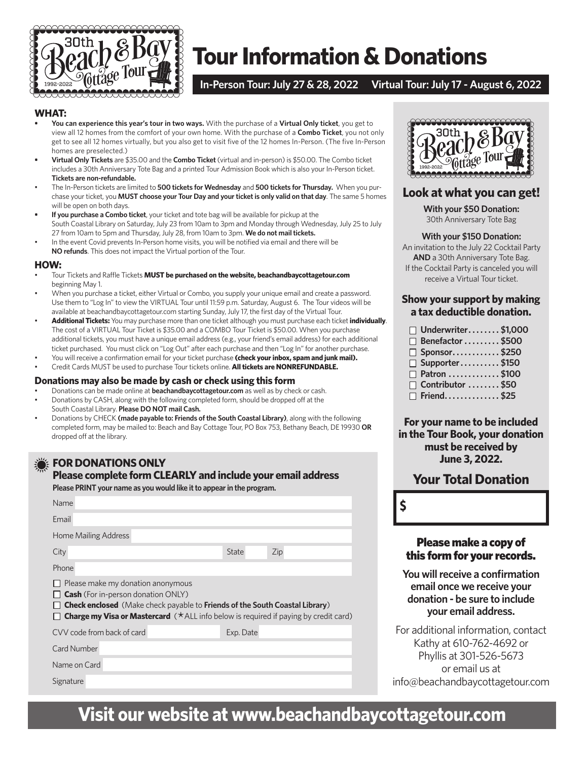

## **Tour Information & Donations**

#### **In-Person Tour: July 27 & 28, 2022 Virtual Tour: July 17 - August 6, 2022**

#### **WHAT:**

- **• You can experience this year's tour in two ways.** With the purchase of a **Virtual Only ticket**, you get to view all 12 homes from the comfort of your own home. With the purchase of a **Combo Ticket**, you not only get to see all 12 homes virtually, but you also get to visit five of the 12 homes In-Person. (The five In-Person homes are preselected.)
- **• Virtual Only Tickets** are \$35.00 and the **Combo Ticket** (virtual and in-person) is \$50.00. The Combo ticket includes a 30th Anniversary Tote Bag and a printed Tour Admission Book which is also your In-Person ticket. **Tickets are non-refundable.**
- The In-Person tickets are limited to **500 tickets for Wednesday** and **500 tickets for Thursday.** When you purchase your ticket, you **MUST choose your Tour Day and your ticket is only valid on that day**. The same 5 homes will be open on both days.
- **• If you purchase a Combo ticket**, your ticket and tote bag will be available for pickup at the South Coastal Library on Saturday, July 23 from 10am to 3pm and Monday through Wednesday, July 25 to July 27 from 10am to 5pm and Thursday, July 28, from 10am to 3pm. **We do not mail tickets.**
- In the event Covid prevents In-Person home visits, you will be notified via email and there will be **NO refunds**. This does not impact the Virtual portion of the Tour.

#### **HOW:**

- Tour Tickets and Raffle Tickets **MUST be purchased on the website, beachandbaycottagetour.com** beginning May 1.
- When you purchase a ticket, either Virtual or Combo, you supply your unique email and create a password. Use them to "Log In" to view the VIRTUAL Tour until 11:59 p.m. Saturday, August 6. The Tour videos will be available at beachandbaycottagetour.com starting Sunday, July 17, the first day of the Virtual Tour.
- **Additional Tickets:** You may purchase more than one ticket although you must purchase each ticket **individually**. The cost of a VIRTUAL Tour Ticket is \$35.00 and a COMBO Tour Ticket is \$50.00. When you purchase additional tickets, you must have a unique email address (e.g., your friend's email address) for each additional ticket purchased. You must click on "Log Out" after each purchase and then "Log In" for another purchase.
- You will receive a confirmation email for your ticket purchase **(check your inbox, spam and junk mail).**
- Credit Cards MUST be used to purchase Tour tickets online. **All tickets are NONREFUNDABLE.**

#### **Donations may also be made by cash or check using this form**

- Donations can be made online at **beachandbaycottagetour.com** as well as by check or cash. • Donations by CASH, along with the following completed form, should be dropped off at the
- South Coastal Library. **Please DO NOT mail Cash.**
- Donations by CHECK **(made payable to: Friends of the South Coastal Library)**, along with the following completed form, may be mailed to: Beach and Bay Cottage Tour, PO Box 753, Bethany Beach, DE 19930 **OR** dropped off at the library.

#### **FOR DONATIONS ONLY**

#### **Please complete form CLEARLY and include your email address**

**Please PRINT your name as you would like it to appear in the program.**

| Name                                                                                                                                                                                                                                                                               |           |     |  |  |
|------------------------------------------------------------------------------------------------------------------------------------------------------------------------------------------------------------------------------------------------------------------------------------|-----------|-----|--|--|
| Email                                                                                                                                                                                                                                                                              |           |     |  |  |
| Home Mailing Address                                                                                                                                                                                                                                                               |           |     |  |  |
| City                                                                                                                                                                                                                                                                               | State     | Zip |  |  |
| Phone                                                                                                                                                                                                                                                                              |           |     |  |  |
| Please make my donation anonymous<br><b>Cash</b> (For in-person donation ONLY)<br><b>Check enclosed</b> (Make check payable to <b>Friends of the South Coastal Library</b> )<br><b>Charge my Visa or Mastercard</b> ( $\star$ ALL info below is required if paying by credit card) |           |     |  |  |
| CVV code from back of card                                                                                                                                                                                                                                                         | Exp. Date |     |  |  |
| Card Number                                                                                                                                                                                                                                                                        |           |     |  |  |
| Name on Card                                                                                                                                                                                                                                                                       |           |     |  |  |
| Signature                                                                                                                                                                                                                                                                          |           |     |  |  |



#### **Look at what you can get!**

**With your \$50 Donation:** 30th Anniversary Tote Bag

#### **With your \$150 Donation:**

An invitation to the July 22 Cocktail Party **AND** a 30th Anniversary Tote Bag. If the Cocktail Party is canceled you will receive a Virtual Tour ticket.

#### **Show your support by making a tax deductible donation.**

| $\Box$ Underwriter\$1,000 |  |
|---------------------------|--|
| $\Box$ Benefactor \$500   |  |
| $\Box$ Sponsor\$250       |  |
| $\Box$ Supporter\$150     |  |
| □ Patron \$100            |  |
| $\Box$ Contributor \$50   |  |
| $\Box$ Friend\$25         |  |

**For your name to be included in the Tour Book, your donation must be received by June 3, 2022.**

### **Your Total Donation**

**\$**

#### Please make a copy of this form for your records.

**You will receive a confirmation email once we receive your donation - be sure to include your email address.**

For additional information, contact Kathy at 610-762-4692 or Phyllis at 301-526-5673 or email us at info@beachandbaycottagetour.com

## **Visit our website at www.beachandbaycottagetour.com**